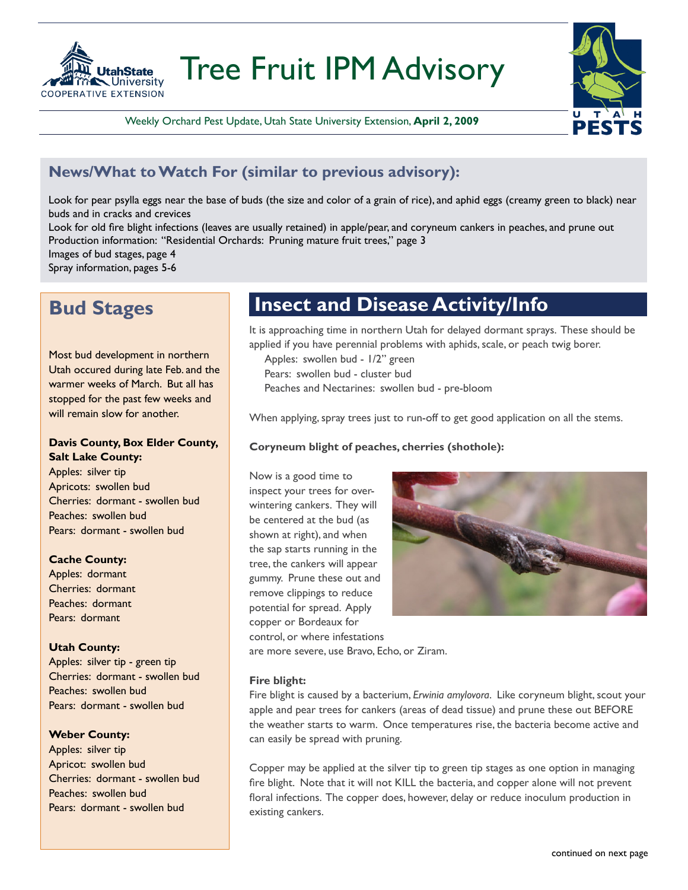

Tree Fruit IPM Advisory

Weekly Orchard Pest Update, Utah State University Extension, **April 2, 2009**



### **News/What to Watch For (similar to previous advisory):**

Look for pear psylla eggs near the base of buds (the size and color of a grain of rice), and aphid eggs (creamy green to black) near buds and in cracks and crevices

Look for old fire blight infections (leaves are usually retained) in apple/pear, and coryneum cankers in peaches, and prune out Production information: "Residential Orchards: Pruning mature fruit trees," page 3

Images of bud stages, page 4

Spray information, pages 5-6

### **Bud Stages**

Most bud development in northern Utah occured during late Feb. and the warmer weeks of March. But all has stopped for the past few weeks and will remain slow for another.

### **Davis County, Box Elder County, Salt Lake County:**

Apples: silver tip Apricots: swollen bud Cherries: dormant - swollen bud Peaches: swollen bud Pears: dormant - swollen bud

### **Cache County:**

Apples: dormant Cherries: dormant Peaches: dormant Pears: dormant

### **Utah County:**

Apples: silver tip - green tip Cherries: dormant - swollen bud Peaches: swollen bud Pears: dormant - swollen bud

### **Weber County:**

Apples: silver tip Apricot: swollen bud Cherries: dormant - swollen bud Peaches: swollen bud Pears: dormant - swollen bud

### **Insect and Disease Activity/Info**

It is approaching time in northern Utah for delayed dormant sprays. These should be applied if you have perennial problems with aphids, scale, or peach twig borer.

- Apples: swollen bud 1/2" green
- Pears: swollen bud cluster bud
- Peaches and Nectarines: swollen bud pre-bloom

When applying, spray trees just to run-off to get good application on all the stems.

### **Coryneum blight of peaches, cherries (shothole):**

Now is a good time to inspect your trees for overwintering cankers. They will be centered at the bud (as shown at right), and when the sap starts running in the tree, the cankers will appear gummy. Prune these out and remove clippings to reduce potential for spread. Apply copper or Bordeaux for control, or where infestations



are more severe, use Bravo, Echo, or Ziram.

#### **Fire blight:**

Fire blight is caused by a bacterium, *Erwinia amylovora*. Like coryneum blight, scout your apple and pear trees for cankers (areas of dead tissue) and prune these out BEFORE the weather starts to warm. Once temperatures rise, the bacteria become active and can easily be spread with pruning.

Copper may be applied at the silver tip to green tip stages as one option in managing fire blight. Note that it will not KILL the bacteria, and copper alone will not prevent floral infections. The copper does, however, delay or reduce inoculum production in existing cankers.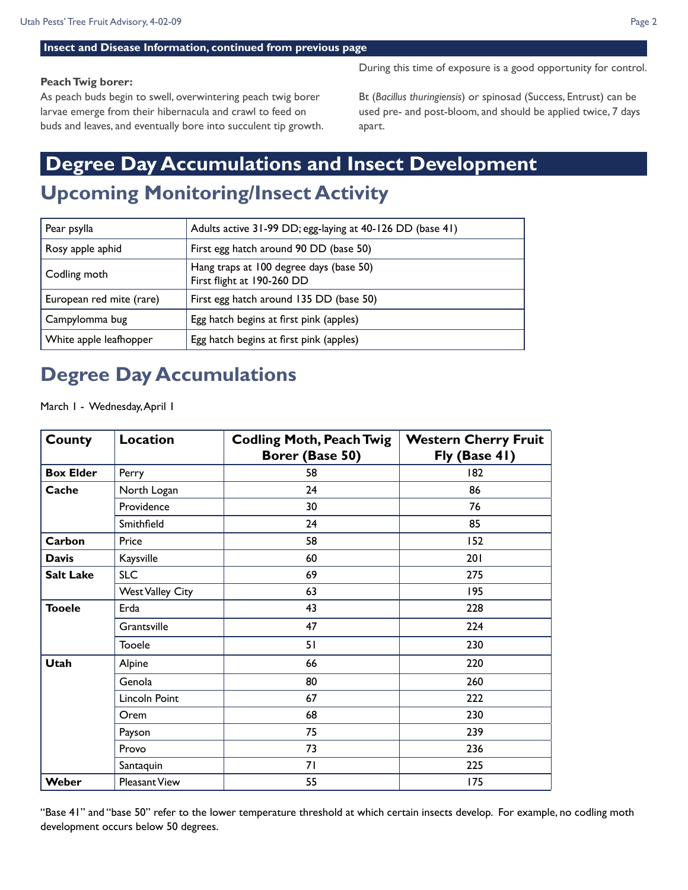#### **Insect and Disease Information, continued from previous page**

#### **Peach Twig borer:**

As peach buds begin to swell, overwintering peach twig borer larvae emerge from their hibernacula and crawl to feed on buds and leaves, and eventually bore into succulent tip growth. During this time of exposure is a good opportunity for control.

Bt (*Bacillus thuringiensis*) or spinosad (Success, Entrust) can be used pre- and post-bloom, and should be applied twice, 7 days apart.

## **Upcoming Monitoring/Insect Activity Degree Day Accumulations and Insect Development**

| Pear psylla              | Adults active 31-99 DD; egg-laying at 40-126 DD (base 41)             |
|--------------------------|-----------------------------------------------------------------------|
| Rosy apple aphid         | First egg hatch around 90 DD (base 50)                                |
| Codling moth             | Hang traps at 100 degree days (base 50)<br>First flight at 190-260 DD |
| European red mite (rare) | First egg hatch around 135 DD (base 50)                               |
| Campylomma bug           | Egg hatch begins at first pink (apples)                               |
| White apple leafhopper   | Egg hatch begins at first pink (apples)                               |

### **Degree Day Accumulations**

March 1 - Wednesday, April 1

| <b>County</b>    | <b>Location</b>         | <b>Codling Moth, Peach Twig</b><br>Borer (Base 50) | <b>Western Cherry Fruit</b><br>Fly (Base 41) |
|------------------|-------------------------|----------------------------------------------------|----------------------------------------------|
| <b>Box Elder</b> | Perry                   | 58                                                 | 182                                          |
| Cache            | North Logan             | 24                                                 | 86                                           |
|                  | Providence              | 30                                                 | 76                                           |
|                  | Smithfield              | 24                                                 | 85                                           |
| Carbon           | Price                   | 58                                                 | 152                                          |
| <b>Davis</b>     | Kaysville               | 60                                                 | 201                                          |
| <b>Salt Lake</b> | <b>SLC</b>              | 69                                                 | 275                                          |
|                  | <b>West Valley City</b> | 63                                                 | 195                                          |
| <b>Tooele</b>    | Erda                    | 43                                                 | 228                                          |
|                  | Grantsville             | 47                                                 | 224                                          |
|                  | <b>Tooele</b>           | 51                                                 | 230                                          |
| <b>Utah</b>      | Alpine                  | 66                                                 | 220                                          |
|                  | Genola                  | 80                                                 | 260                                          |
|                  | Lincoln Point           | 67                                                 | 222                                          |
|                  | Orem                    | 68                                                 | 230                                          |
|                  | Payson                  | 75                                                 | 239                                          |
|                  | Provo                   | 73                                                 | 236                                          |
|                  | Santaquin               | 71                                                 | 225                                          |
| Weber            | Pleasant View           | 55                                                 | 175                                          |

"Base 41" and "base 50" refer to the lower temperature threshold at which certain insects develop. For example, no codling moth development occurs below 50 degrees.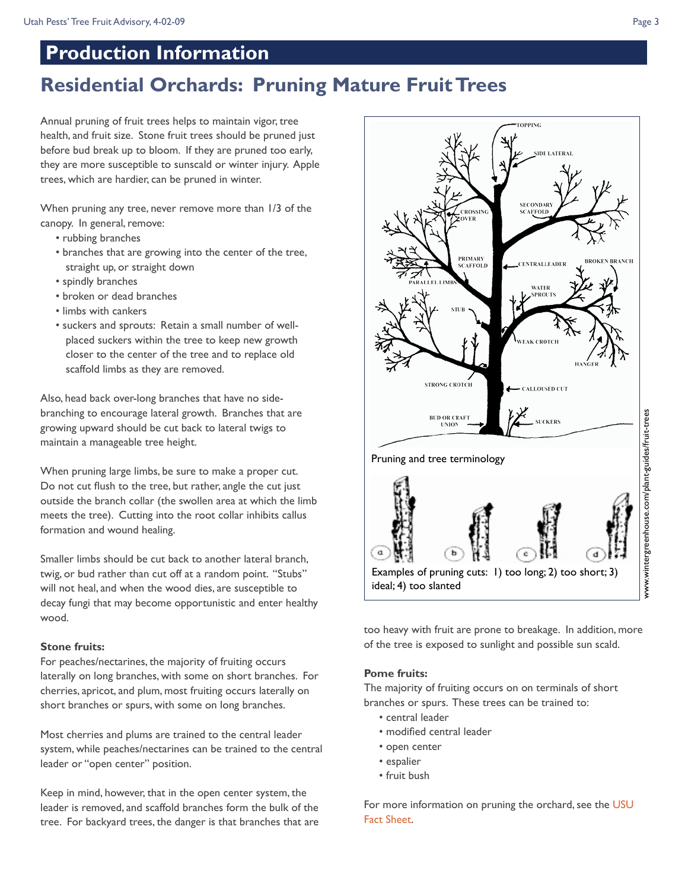### **Production Information**

## **Residential Orchards: Pruning Mature Fruit Trees**

Annual pruning of fruit trees helps to maintain vigor, tree health, and fruit size. Stone fruit trees should be pruned just before bud break up to bloom. If they are pruned too early, they are more susceptible to sunscald or winter injury. Apple trees, which are hardier, can be pruned in winter.

When pruning any tree, never remove more than 1/3 of the canopy. In general, remove:

- rubbing branches
- branches that are growing into the center of the tree, straight up, or straight down
- spindly branches
- broken or dead branches
- limbs with cankers
- suckers and sprouts: Retain a small number of wellplaced suckers within the tree to keep new growth closer to the center of the tree and to replace old scaffold limbs as they are removed.

Also, head back over-long branches that have no sidebranching to encourage lateral growth. Branches that are growing upward should be cut back to lateral twigs to maintain a manageable tree height.

When pruning large limbs, be sure to make a proper cut. Do not cut flush to the tree, but rather, angle the cut just outside the branch collar (the swollen area at which the limb meets the tree). Cutting into the root collar inhibits callus formation and wound healing.

Smaller limbs should be cut back to another lateral branch, twig, or bud rather than cut off at a random point. "Stubs" will not heal, and when the wood dies, are susceptible to decay fungi that may become opportunistic and enter healthy wood.

### **Stone fruits:**

For peaches/nectarines, the majority of fruiting occurs laterally on long branches, with some on short branches. For cherries, apricot, and plum, most fruiting occurs laterally on short branches or spurs, with some on long branches.

Most cherries and plums are trained to the central leader system, while peaches/nectarines can be trained to the central leader or "open center" position.

Keep in mind, however, that in the open center system, the leader is removed, and scaffold branches form the bulk of the tree. For backyard trees, the danger is that branches that are



too heavy with fruit are prone to breakage. In addition, more of the tree is exposed to sunlight and possible sun scald.

### **Pome fruits:**

The majority of fruiting occurs on on terminals of short branches or spurs. These trees can be trained to:

- central leader
- modified central leader
- open center
- espalier
- fruit bush

For more information on pruning the orchard, see the USU [Fact Sheet.](http://extension.usu.edu/files/publications/publication/HG_363.pdf)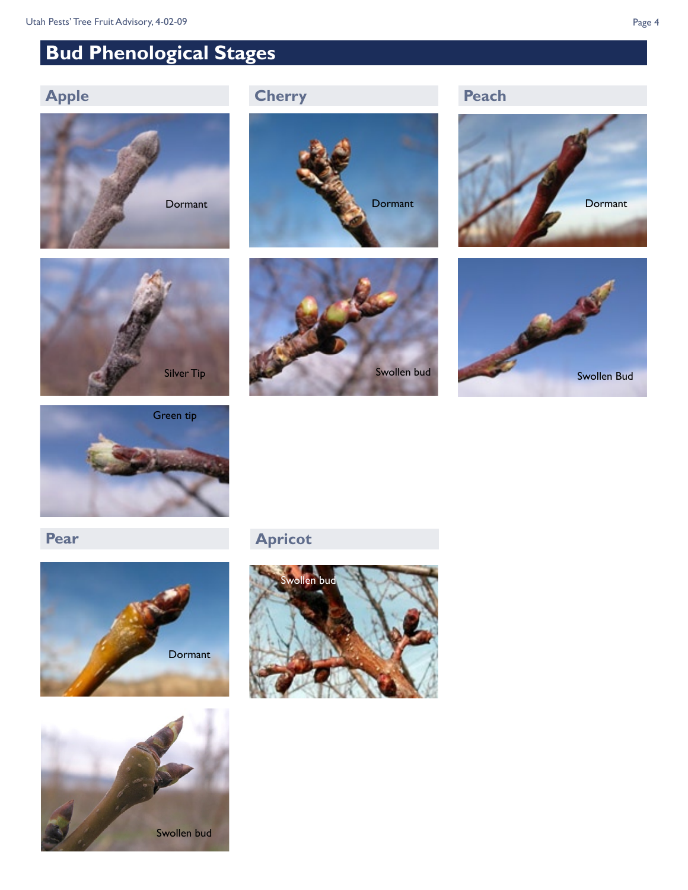## **Bud Phenological Stages**

### **Apple**















**Pear**





**Apricot**

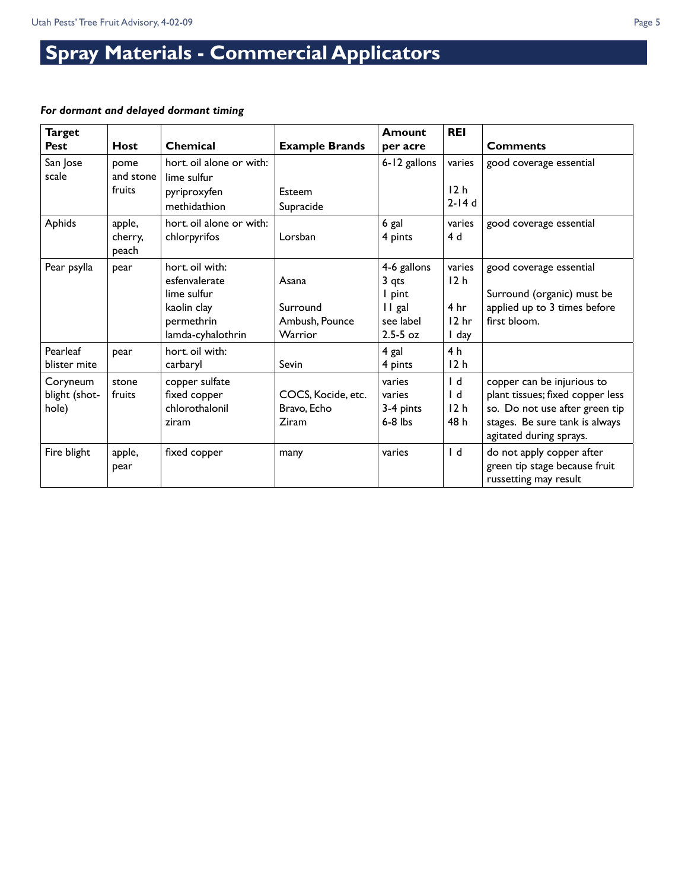# **Spray Materials - Commercial Applicators**

### *For dormant and delayed dormant timing*

| <b>Target</b><br><b>Pest</b>       | <b>Host</b>                 | <b>Chemical</b>                                                                                   | <b>Example Brands</b>                          | <b>Amount</b><br>per acre                                             | <b>REI</b>                                                                | <b>Comments</b>                                                                                                                                               |
|------------------------------------|-----------------------------|---------------------------------------------------------------------------------------------------|------------------------------------------------|-----------------------------------------------------------------------|---------------------------------------------------------------------------|---------------------------------------------------------------------------------------------------------------------------------------------------------------|
| San Jose<br>scale                  | pome<br>and stone<br>fruits | hort. oil alone or with:<br>lime sulfur<br>pyriproxyfen<br>methidathion                           | Esteem<br>Supracide                            | 6-12 gallons                                                          | varies<br>12 <sub>h</sub><br>$2-14d$                                      | good coverage essential                                                                                                                                       |
| Aphids                             | apple,<br>cherry,<br>peach  | hort, oil alone or with:<br>chlorpyrifos                                                          | Lorsban                                        | 6 gal<br>4 pints                                                      | varies<br>4 d                                                             | good coverage essential                                                                                                                                       |
| Pear psylla                        | pear                        | hort. oil with:<br>esfenvalerate<br>lime sulfur<br>kaolin clay<br>permethrin<br>lamda-cyhalothrin | Asana<br>Surround<br>Ambush, Pounce<br>Warrior | 4-6 gallons<br>3 qts<br>I pint<br>II gal<br>see label<br>$2.5 - 5$ oz | varies<br>12 <sub>h</sub><br>4 <sub>hr</sub><br>12 <sub>hr</sub><br>I day | good coverage essential<br>Surround (organic) must be<br>applied up to 3 times before<br>first bloom.                                                         |
| Pearleaf<br>blister mite           | pear                        | hort. oil with:<br>carbaryl                                                                       | <b>Sevin</b>                                   | 4 gal<br>4 pints                                                      | 4 <sub>h</sub><br>12h                                                     |                                                                                                                                                               |
| Coryneum<br>blight (shot-<br>hole) | stone<br>fruits             | copper sulfate<br>fixed copper<br>chlorothalonil<br>ziram                                         | COCS, Kocide, etc.<br>Bravo, Echo<br>Ziram     | varies<br>varies<br>3-4 pints<br>$6-8$ lbs                            | $\mathsf{I}$<br>$\mathsf{I}$<br>12h<br>48 h                               | copper can be injurious to<br>plant tissues; fixed copper less<br>so. Do not use after green tip<br>stages. Be sure tank is always<br>agitated during sprays. |
| Fire blight                        | apple,<br>pear              | fixed copper                                                                                      | many                                           | varies                                                                | $\mathsf{I}$ d                                                            | do not apply copper after<br>green tip stage because fruit<br>russetting may result                                                                           |